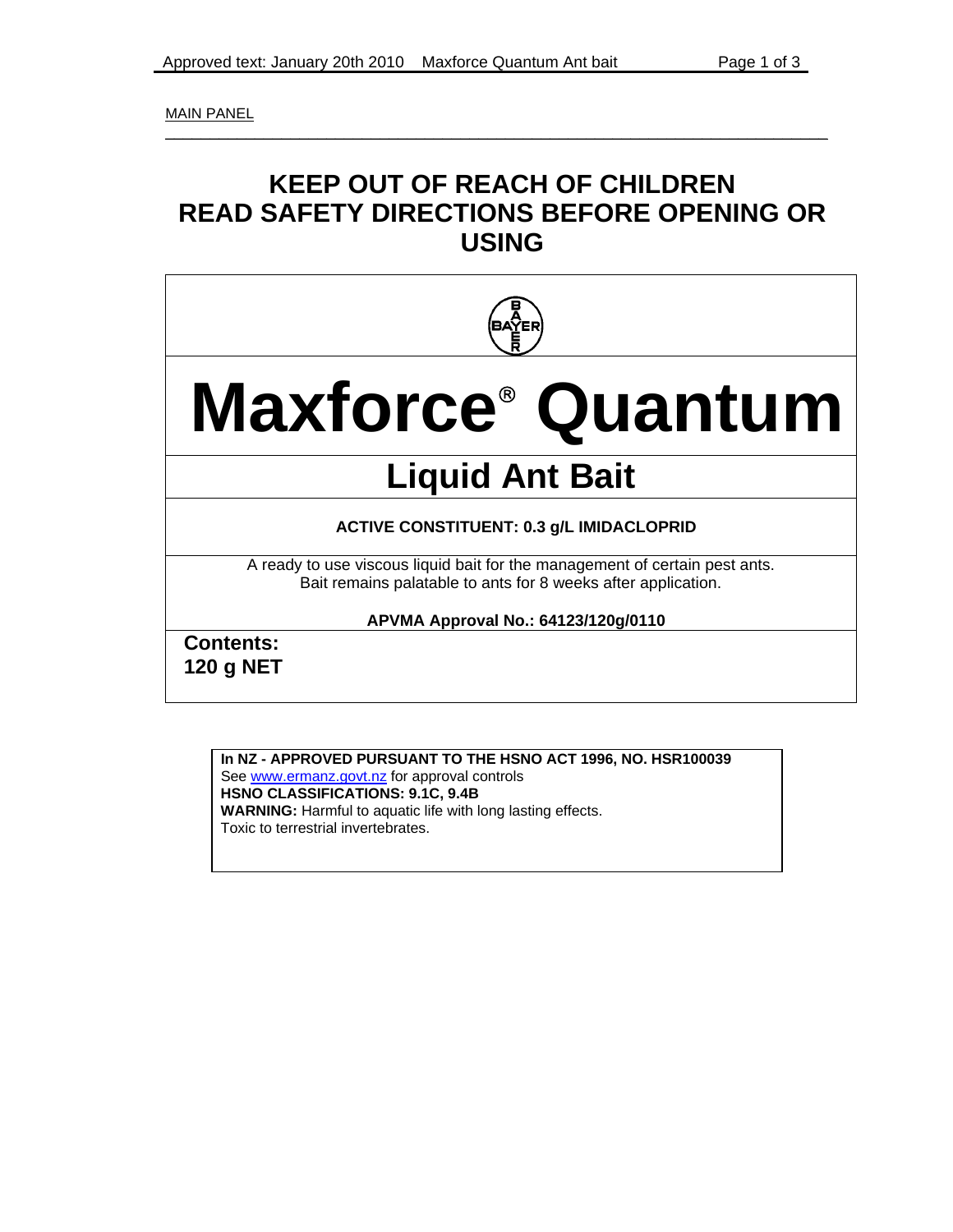MAIN PANEL

### **KEEP OUT OF REACH OF CHILDREN READ SAFETY DIRECTIONS BEFORE OPENING OR USING**

\_\_\_\_\_\_\_\_\_\_\_\_\_\_\_\_\_\_\_\_\_\_\_\_\_\_\_\_\_\_\_\_\_\_\_\_\_\_\_\_\_\_\_\_\_\_\_\_\_\_\_\_\_\_\_\_\_\_\_\_\_\_\_\_\_\_\_\_\_\_\_\_\_\_



# **Maxforce Quantum**

## **Liquid Ant Bait**

#### **ACTIVE CONSTITUENT: 0.3 g/L IMIDACLOPRID**

A ready to use viscous liquid bait for the management of certain pest ants. Bait remains palatable to ants for 8 weeks after application.

#### **APVMA Approval No.: 64123/120g/0110**

**Contents: 120 g NET** 

#### **In NZ - APPROVED PURSUANT TO THE HSNO ACT 1996, NO. HSR100039**

See www.ermanz.govt.nz for approval controls **HSNO CLASSIFICATIONS: 9.1C, 9.4B WARNING:** Harmful to aquatic life with long lasting effects. Toxic to terrestrial invertebrates.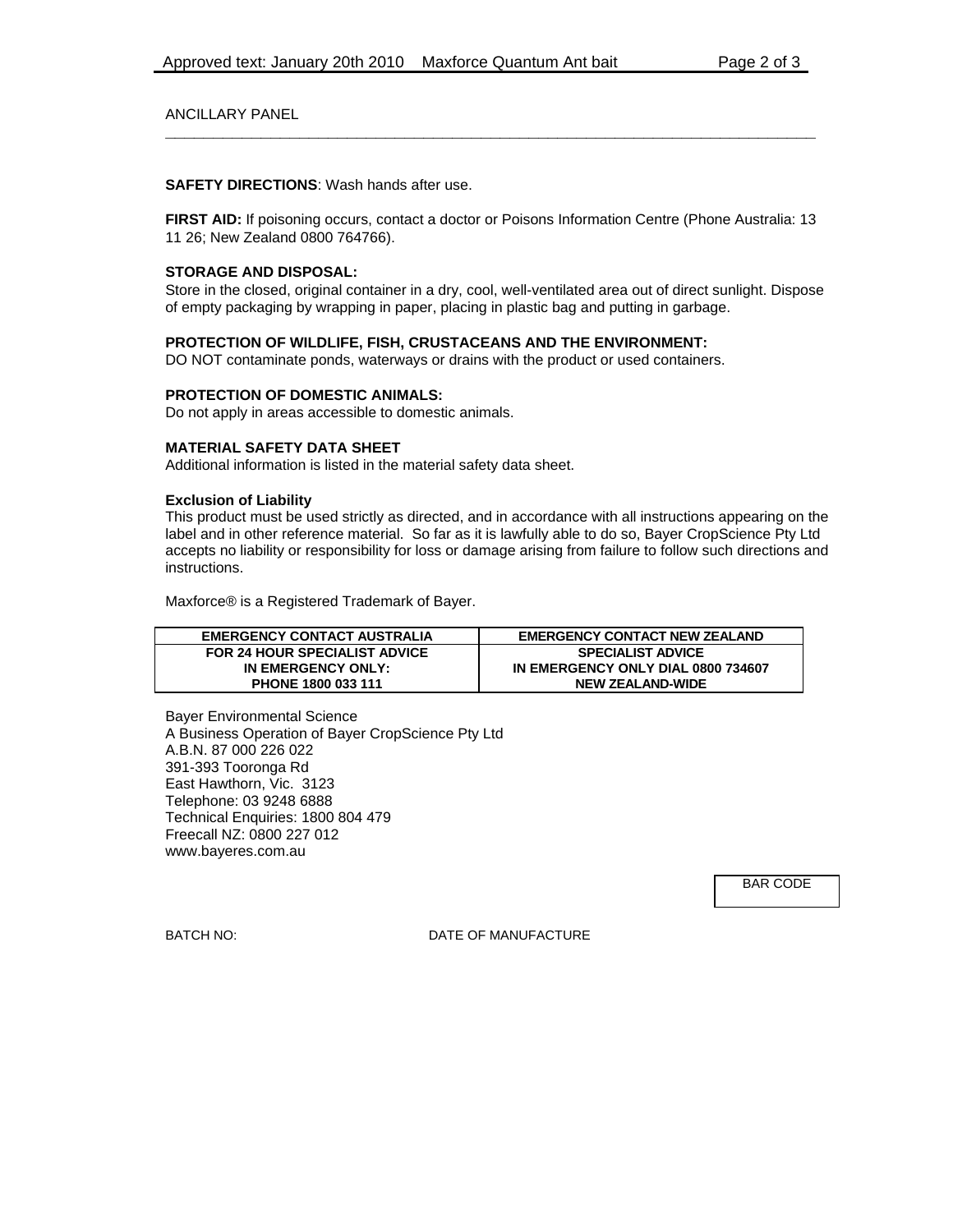#### ANCILLARY PANEL

#### **SAFETY DIRECTIONS**: Wash hands after use.

**FIRST AID:** If poisoning occurs, contact a doctor or Poisons Information Centre (Phone Australia: 13 11 26; New Zealand 0800 764766).

**\_\_\_\_\_\_\_\_\_\_\_\_\_\_\_\_\_\_\_\_\_\_\_\_\_\_\_\_\_\_\_\_\_\_\_\_\_\_\_\_\_\_\_\_\_\_\_\_\_\_\_\_\_\_\_\_\_\_\_\_\_\_\_\_\_\_\_\_** 

#### **STORAGE AND DISPOSAL:**

Store in the closed, original container in a dry, cool, well-ventilated area out of direct sunlight. Dispose of empty packaging by wrapping in paper, placing in plastic bag and putting in garbage.

#### **PROTECTION OF WILDLIFE, FISH, CRUSTACEANS AND THE ENVIRONMENT:**

DO NOT contaminate ponds, waterways or drains with the product or used containers.

#### **PROTECTION OF DOMESTIC ANIMALS:**

Do not apply in areas accessible to domestic animals.

#### **MATERIAL SAFETY DATA SHEET**

Additional information is listed in the material safety data sheet.

#### **Exclusion of Liability**

This product must be used strictly as directed, and in accordance with all instructions appearing on the label and in other reference material. So far as it is lawfully able to do so, Bayer CropScience Pty Ltd accepts no liability or responsibility for loss or damage arising from failure to follow such directions and instructions.

Maxforce® is a Registered Trademark of Bayer.

| <b>EMERGENCY CONTACT AUSTRALIA</b>   | <b>EMERGENCY CONTACT NEW ZEALAND</b> |
|--------------------------------------|--------------------------------------|
| <b>FOR 24 HOUR SPECIALIST ADVICE</b> | <b>SPECIALIST ADVICE</b>             |
| IN EMERGENCY ONLY:                   | IN EMERGENCY ONLY DIAL 0800 734607   |
| PHONE 1800 033 111                   | <b>NEW ZEALAND-WIDE</b>              |

Bayer Environmental Science A Business Operation of Bayer CropScience Pty Ltd A.B.N. 87 000 226 022 391-393 Tooronga Rd East Hawthorn, Vic. 3123 Telephone: 03 9248 6888 Technical Enquiries: 1800 804 479 Freecall NZ: 0800 227 012 www.bayeres.com.au

BAR CODE

BATCH NO: DATE OF MANUFACTURE